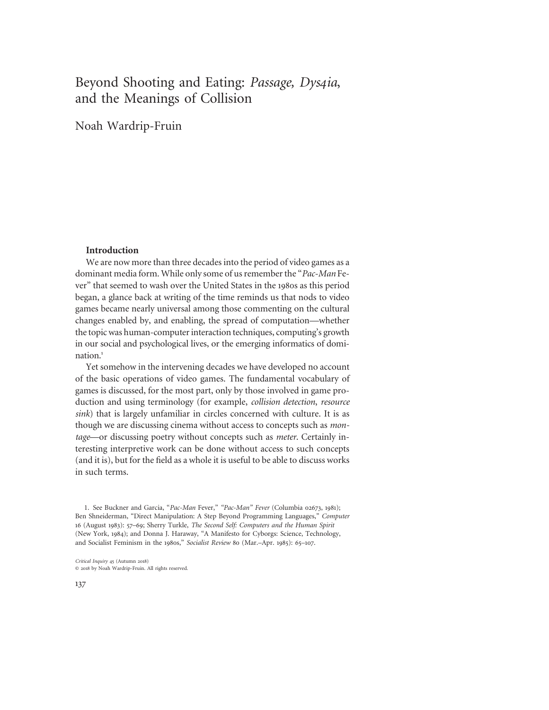# Beyond Shooting and Eating: Passage, Dys4ia, and the Meanings of Collision

Noah Wardrip-Fruin

#### Introduction

We are now more than three decades into the period of video games as a dominant media form. While only some of us remember the "Pac-Man Fever" that seemed to wash over the United States in the 1980s as this period began, a glance back at writing of the time reminds us that nods to video games became nearly universal among those commenting on the cultural changes enabled by, and enabling, the spread of computation—whether the topic was human-computer interaction techniques, computing's growth in our social and psychological lives, or the emerging informatics of domination.<sup>1</sup>

Yet somehow in the intervening decades we have developed no account of the basic operations of video games. The fundamental vocabulary of games is discussed, for the most part, only by those involved in game production and using terminology (for example, collision detection, resource sink) that is largely unfamiliar in circles concerned with culture. It is as though we are discussing cinema without access to concepts such as montage—or discussing poetry without concepts such as meter. Certainly interesting interpretive work can be done without access to such concepts (and it is), but for the field as a whole it is useful to be able to discuss works in such terms.

1. See Buckner and Garcia, "Pac-Man Fever," "Pac-Man" Fever (Columbia 02673, 1981); Ben Shneiderman, "Direct Manipulation: A Step Beyond Programming Languages," Computer 16 (August 1983): 57–69; Sherry Turkle, The Second Self: Computers and the Human Spirit (New York, 1984); and Donna J. Haraway, "A Manifesto for Cyborgs: Science, Technology, and Socialist Feminism in the 1980s," Socialist Review 80 (Mar.–Apr. 1985): 65–107.

Critical Inquiry 45 (Autumn 2018) © 2018 by Noah Wardrip-Fruin. All rights reserved.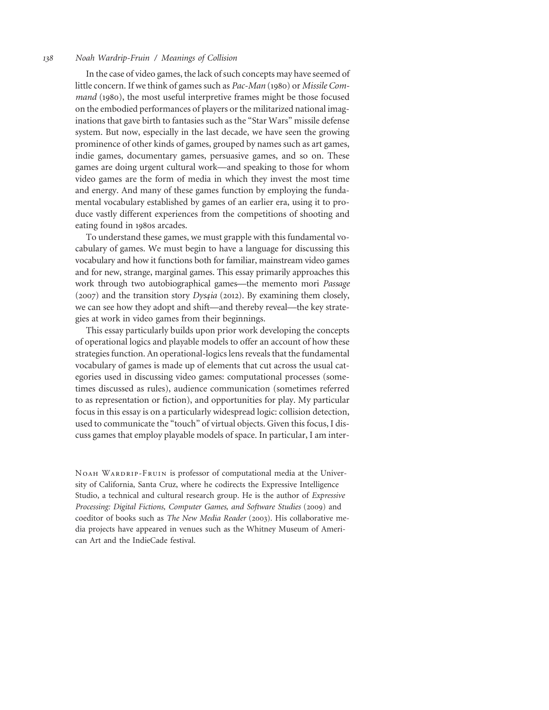In the case of video games, the lack of such concepts may have seemed of little concern. If we think of games such as Pac-Man (1980) or Missile Command (1980), the most useful interpretive frames might be those focused on the embodied performances of players or the militarized national imaginations that gave birth to fantasies such as the "Star Wars" missile defense system. But now, especially in the last decade, we have seen the growing prominence of other kinds of games, grouped by names such as art games, indie games, documentary games, persuasive games, and so on. These games are doing urgent cultural work—and speaking to those for whom video games are the form of media in which they invest the most time and energy. And many of these games function by employing the fundamental vocabulary established by games of an earlier era, using it to produce vastly different experiences from the competitions of shooting and eating found in 1980s arcades.

To understand these games, we must grapple with this fundamental vocabulary of games. We must begin to have a language for discussing this vocabulary and how it functions both for familiar, mainstream video games and for new, strange, marginal games. This essay primarily approaches this work through two autobiographical games—the memento mori Passage  $(2007)$  and the transition story *Dysqia* (2012). By examining them closely, we can see how they adopt and shift—and thereby reveal—the key strategies at work in video games from their beginnings.

This essay particularly builds upon prior work developing the concepts of operational logics and playable models to offer an account of how these strategies function. An operational-logics lens reveals that the fundamental vocabulary of games is made up of elements that cut across the usual categories used in discussing video games: computational processes (sometimes discussed as rules), audience communication (sometimes referred to as representation or fiction), and opportunities for play. My particular focus in this essay is on a particularly widespread logic: collision detection, used to communicate the "touch" of virtual objects. Given this focus, I discuss games that employ playable models of space. In particular, I am inter-

NOAH WARDRIP-FRUIN is professor of computational media at the University of California, Santa Cruz, where he codirects the Expressive Intelligence Studio, a technical and cultural research group. He is the author of Expressive Processing: Digital Fictions, Computer Games, and Software Studies (2009) and coeditor of books such as The New Media Reader (2003). His collaborative media projects have appeared in venues such as the Whitney Museum of American Art and the IndieCade festival.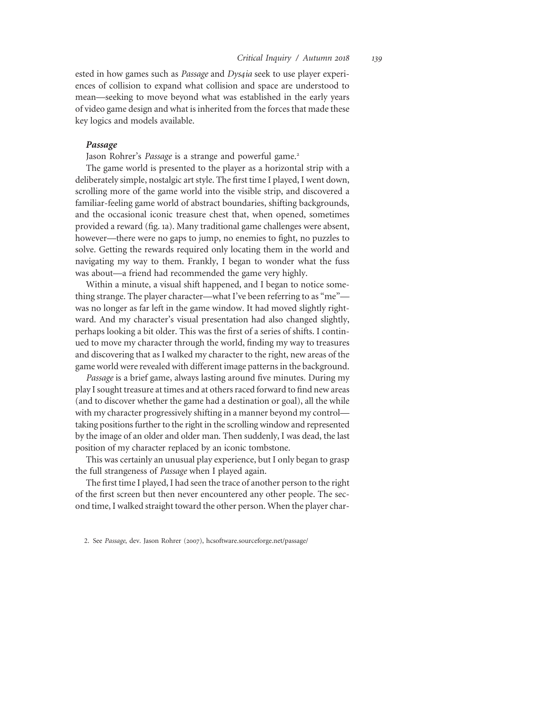ested in how games such as Passage and Dys4ia seek to use player experiences of collision to expand what collision and space are understood to mean—seeking to move beyond what was established in the early years of video game design and what is inherited from the forces that made these key logics and models available.

#### Passage

Jason Rohrer's Passage is a strange and powerful game.<sup>2</sup>

The game world is presented to the player as a horizontal strip with a deliberately simple, nostalgic art style. The first time I played, I went down, scrolling more of the game world into the visible strip, and discovered a familiar-feeling game world of abstract boundaries, shifting backgrounds, and the occasional iconic treasure chest that, when opened, sometimes provided a reward (fig. 1a). Many traditional game challenges were absent, however—there were no gaps to jump, no enemies to fight, no puzzles to solve. Getting the rewards required only locating them in the world and navigating my way to them. Frankly, I began to wonder what the fuss was about—a friend had recommended the game very highly.

Within a minute, a visual shift happened, and I began to notice something strange. The player character—what I've been referring to as "me" was no longer as far left in the game window. It had moved slightly rightward. And my character's visual presentation had also changed slightly, perhaps looking a bit older. This was the first of a series of shifts. I continued to move my character through the world, finding my way to treasures and discovering that as I walked my character to the right, new areas of the game world were revealed with different image patterns in the background.

Passage is a brief game, always lasting around five minutes. During my play I sought treasure at times and at others raced forward to find new areas (and to discover whether the game had a destination or goal), all the while with my character progressively shifting in a manner beyond my control taking positions further to the right in the scrolling window and represented by the image of an older and older man. Then suddenly, I was dead, the last position of my character replaced by an iconic tombstone.

This was certainly an unusual play experience, but I only began to grasp the full strangeness of Passage when I played again.

The first time I played, I had seen the trace of another person to the right of the first screen but then never encountered any other people. The second time, I walked straight toward the other person. When the player char-

<sup>2.</sup> See Passage, dev. Jason Rohrer (2007), hcsoftware.sourceforge.net/passage/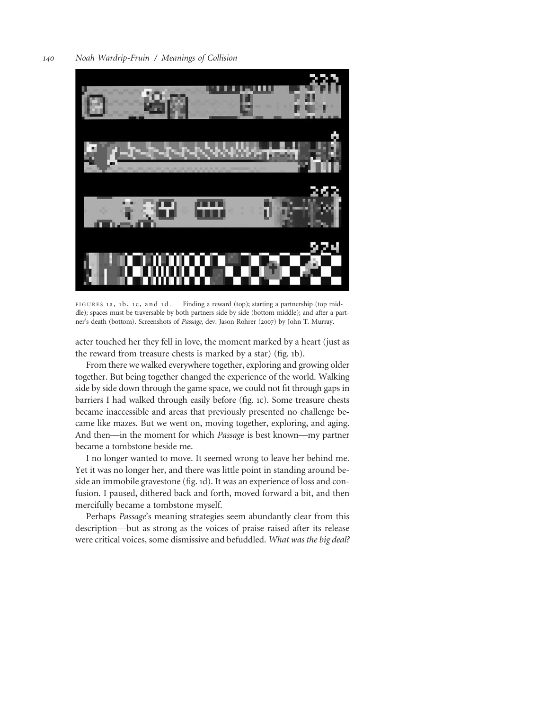

FIGURES 1a, 1b, 1c, and 1d. Finding a reward (top); starting a partnership (top middle); spaces must be traversable by both partners side by side (bottom middle); and after a partner's death (bottom). Screenshots of Passage, dev. Jason Rohrer (2007) by John T. Murray.

acter touched her they fell in love, the moment marked by a heart (just as the reward from treasure chests is marked by a star) (fig. 1b).

From there we walked everywhere together, exploring and growing older together. But being together changed the experience of the world. Walking side by side down through the game space, we could not fit through gaps in barriers I had walked through easily before (fig. 1c). Some treasure chests became inaccessible and areas that previously presented no challenge became like mazes. But we went on, moving together, exploring, and aging. And then—in the moment for which Passage is best known—my partner became a tombstone beside me.

I no longer wanted to move. It seemed wrong to leave her behind me. Yet it was no longer her, and there was little point in standing around beside an immobile gravestone (fig. 1d). It was an experience of loss and confusion. I paused, dithered back and forth, moved forward a bit, and then mercifully became a tombstone myself.

Perhaps Passage's meaning strategies seem abundantly clear from this description—but as strong as the voices of praise raised after its release were critical voices, some dismissive and befuddled. What was the big deal?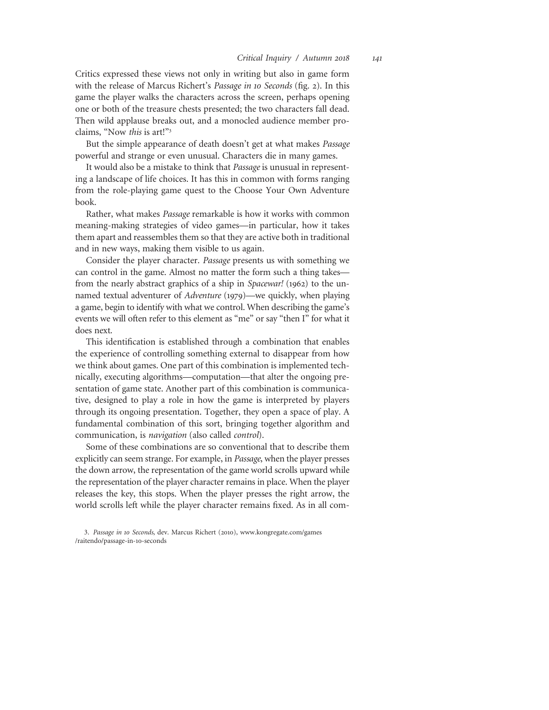Critics expressed these views not only in writing but also in game form with the release of Marcus Richert's Passage in 10 Seconds (fig. 2). In this game the player walks the characters across the screen, perhaps opening one or both of the treasure chests presented; the two characters fall dead. Then wild applause breaks out, and a monocled audience member proclaims, "Now this is art!"<sup>3</sup>

But the simple appearance of death doesn't get at what makes *Passage* powerful and strange or even unusual. Characters die in many games.

It would also be a mistake to think that Passage is unusual in representing a landscape of life choices. It has this in common with forms ranging from the role-playing game quest to the Choose Your Own Adventure book.

Rather, what makes Passage remarkable is how it works with common meaning-making strategies of video games—in particular, how it takes them apart and reassembles them so that they are active both in traditional and in new ways, making them visible to us again.

Consider the player character. Passage presents us with something we can control in the game. Almost no matter the form such a thing takes from the nearly abstract graphics of a ship in Spacewar! (1962) to the unnamed textual adventurer of Adventure (1979)—we quickly, when playing a game, begin to identify with what we control. When describing the game's events we will often refer to this element as "me" or say "then I" for what it does next.

This identification is established through a combination that enables the experience of controlling something external to disappear from how we think about games. One part of this combination is implemented technically, executing algorithms—computation—that alter the ongoing presentation of game state. Another part of this combination is communicative, designed to play a role in how the game is interpreted by players through its ongoing presentation. Together, they open a space of play. A fundamental combination of this sort, bringing together algorithm and communication, is navigation (also called control).

Some of these combinations are so conventional that to describe them explicitly can seem strange. For example, in Passage, when the player presses the down arrow, the representation of the game world scrolls upward while the representation of the player character remains in place. When the player releases the key, this stops. When the player presses the right arrow, the world scrolls left while the player character remains fixed. As in all com-

<sup>3.</sup> Passage in 10 Seconds, dev. Marcus Richert (2010), www.kongregate.com/games /raitendo/passage-in-10-seconds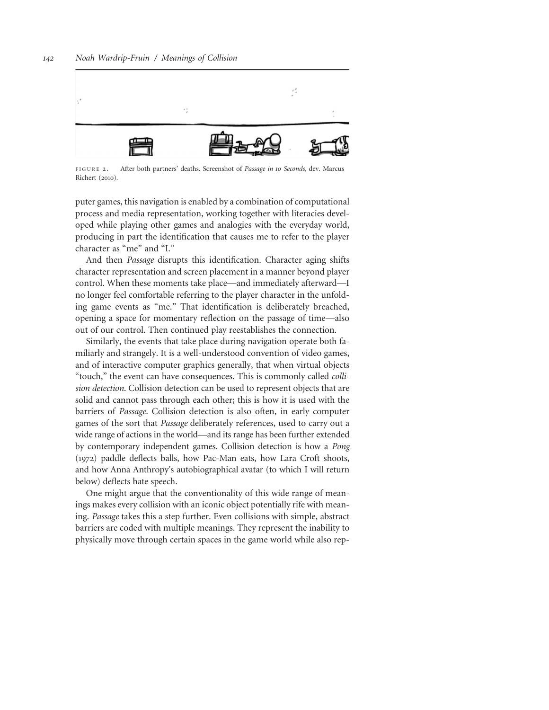

FIGURE 2. After both partners' deaths. Screenshot of Passage in 10 Seconds, dev. Marcus Richert (2010).

puter games, this navigation is enabled by a combination of computational process and media representation, working together with literacies developed while playing other games and analogies with the everyday world, producing in part the identification that causes me to refer to the player character as "me" and "I."

And then Passage disrupts this identification. Character aging shifts character representation and screen placement in a manner beyond player control. When these moments take place—and immediately afterward—I no longer feel comfortable referring to the player character in the unfolding game events as "me." That identification is deliberately breached, opening a space for momentary reflection on the passage of time—also out of our control. Then continued play reestablishes the connection.

Similarly, the events that take place during navigation operate both familiarly and strangely. It is a well-understood convention of video games, and of interactive computer graphics generally, that when virtual objects "touch," the event can have consequences. This is commonly called collision detection. Collision detection can be used to represent objects that are solid and cannot pass through each other; this is how it is used with the barriers of Passage. Collision detection is also often, in early computer games of the sort that Passage deliberately references, used to carry out a wide range of actions in the world—and its range has been further extended by contemporary independent games. Collision detection is how a Pong (1972) paddle deflects balls, how Pac-Man eats, how Lara Croft shoots, and how Anna Anthropy's autobiographical avatar (to which I will return below) deflects hate speech.

One might argue that the conventionality of this wide range of meanings makes every collision with an iconic object potentially rife with meaning. Passage takes this a step further. Even collisions with simple, abstract barriers are coded with multiple meanings. They represent the inability to physically move through certain spaces in the game world while also rep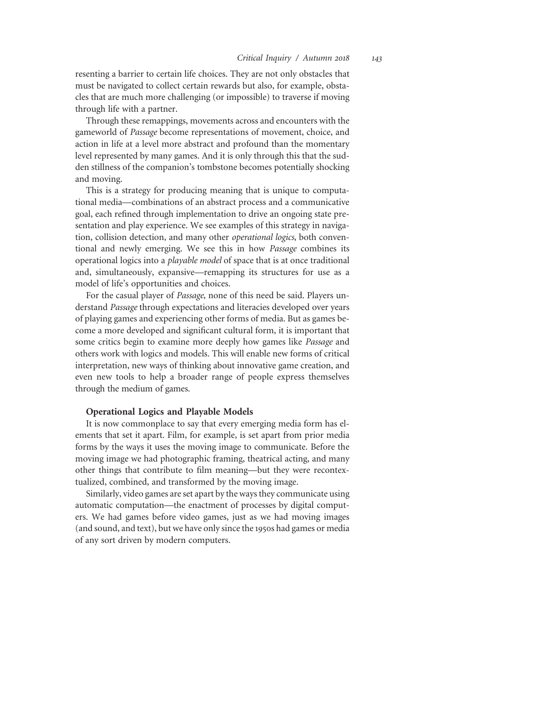resenting a barrier to certain life choices. They are not only obstacles that must be navigated to collect certain rewards but also, for example, obstacles that are much more challenging (or impossible) to traverse if moving through life with a partner.

Through these remappings, movements across and encounters with the gameworld of Passage become representations of movement, choice, and action in life at a level more abstract and profound than the momentary level represented by many games. And it is only through this that the sudden stillness of the companion's tombstone becomes potentially shocking and moving.

This is a strategy for producing meaning that is unique to computational media—combinations of an abstract process and a communicative goal, each refined through implementation to drive an ongoing state presentation and play experience. We see examples of this strategy in navigation, collision detection, and many other operational logics, both conventional and newly emerging. We see this in how Passage combines its operational logics into a playable model of space that is at once traditional and, simultaneously, expansive—remapping its structures for use as a model of life's opportunities and choices.

For the casual player of Passage, none of this need be said. Players understand Passage through expectations and literacies developed over years of playing games and experiencing other forms of media. But as games become a more developed and significant cultural form, it is important that some critics begin to examine more deeply how games like Passage and others work with logics and models. This will enable new forms of critical interpretation, new ways of thinking about innovative game creation, and even new tools to help a broader range of people express themselves through the medium of games.

#### Operational Logics and Playable Models

It is now commonplace to say that every emerging media form has elements that set it apart. Film, for example, is set apart from prior media forms by the ways it uses the moving image to communicate. Before the moving image we had photographic framing, theatrical acting, and many other things that contribute to film meaning—but they were recontextualized, combined, and transformed by the moving image.

Similarly, video games are set apart by the ways they communicate using automatic computation—the enactment of processes by digital computers. We had games before video games, just as we had moving images (and sound, and text), but we have only since the 1950s had games or media of any sort driven by modern computers.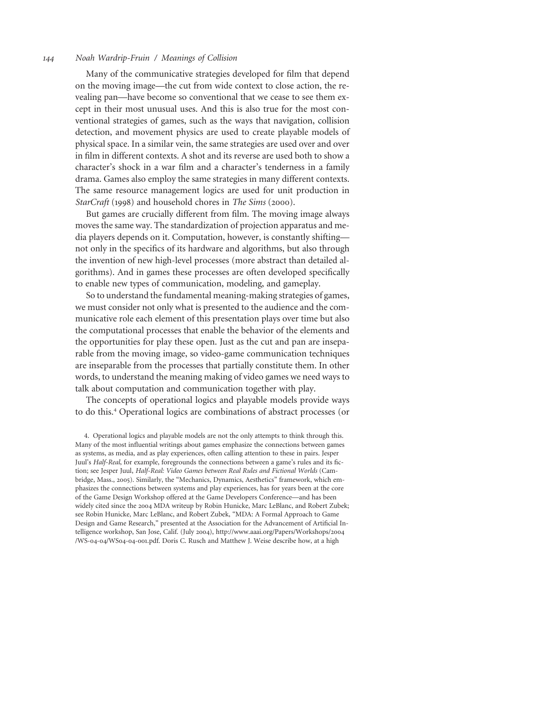Many of the communicative strategies developed for film that depend on the moving image—the cut from wide context to close action, the revealing pan—have become so conventional that we cease to see them except in their most unusual uses. And this is also true for the most conventional strategies of games, such as the ways that navigation, collision detection, and movement physics are used to create playable models of physical space. In a similar vein, the same strategies are used over and over in film in different contexts. A shot and its reverse are used both to show a character's shock in a war film and a character's tenderness in a family drama. Games also employ the same strategies in many different contexts. The same resource management logics are used for unit production in StarCraft (1998) and household chores in The Sims (2000).

But games are crucially different from film. The moving image always moves the same way. The standardization of projection apparatus and media players depends on it. Computation, however, is constantly shifting not only in the specifics of its hardware and algorithms, but also through the invention of new high-level processes (more abstract than detailed algorithms). And in games these processes are often developed specifically to enable new types of communication, modeling, and gameplay.

So to understand the fundamental meaning-making strategies of games, we must consider not only what is presented to the audience and the communicative role each element of this presentation plays over time but also the computational processes that enable the behavior of the elements and the opportunities for play these open. Just as the cut and pan are inseparable from the moving image, so video-game communication techniques are inseparable from the processes that partially constitute them. In other words, to understand the meaning making of video games we need ways to talk about computation and communication together with play.

The concepts of operational logics and playable models provide ways to do this.<sup>4</sup> Operational logics are combinations of abstract processes (or

<sup>4.</sup> Operational logics and playable models are not the only attempts to think through this. Many of the most influential writings about games emphasize the connections between games as systems, as media, and as play experiences, often calling attention to these in pairs. Jesper Juul's Half-Real, for example, foregrounds the connections between a game's rules and its fiction; see Jesper Juul, Half-Real: Video Games between Real Rules and Fictional Worlds (Cambridge, Mass., 2005). Similarly, the "Mechanics, Dynamics, Aesthetics" framework, which emphasizes the connections between systems and play experiences, has for years been at the core of the Game Design Workshop offered at the Game Developers Conference—and has been widely cited since the 2004 MDA writeup by Robin Hunicke, Marc LeBlanc, and Robert Zubek; see Robin Hunicke, Marc LeBlanc, and Robert Zubek, "MDA: A Formal Approach to Game Design and Game Research," presented at the Association for the Advancement of Artificial Intelligence workshop, San Jose, Calif. (July 2004), http://www.aaai.org/Papers/Workshops/2004 /WS-04-04/WS04-04-001.pdf. Doris C. Rusch and Matthew J. Weise describe how, at a high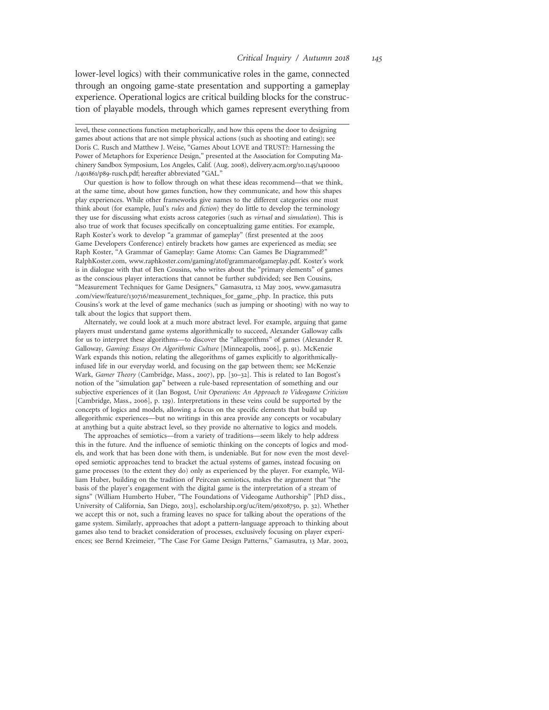lower-level logics) with their communicative roles in the game, connected through an ongoing game-state presentation and supporting a gameplay experience. Operational logics are critical building blocks for the construction of playable models, through which games represent everything from

level, these connections function metaphorically, and how this opens the door to designing games about actions that are not simple physical actions (such as shooting and eating); see Doris C. Rusch and Matthew J. Weise, "Games About LOVE and TRUST?: Harnessing the Power of Metaphors for Experience Design," presented at the Association for Computing Machinery Sandbox Symposium, Los Angeles, Calif. (Aug. 2008), delivery.acm.org/10.1145/1410000 /1401861/p89-rusch.pdf; hereafter abbreviated "GAL."

Our question is how to follow through on what these ideas recommend—that we think, at the same time, about how games function, how they communicate, and how this shapes play experiences. While other frameworks give names to the different categories one must think about (for example, Juul's *rules* and *fiction*) they do little to develop the terminology they use for discussing what exists across categories (such as virtual and simulation). This is also true of work that focuses specifically on conceptualizing game entities. For example, Raph Koster's work to develop "a grammar of gameplay" (first presented at the 2005 Game Developers Conference) entirely brackets how games are experienced as media; see Raph Koster, "A Grammar of Gameplay: Game Atoms: Can Games Be Diagrammed?" RalphKoster.com, www.raphkoster.com/gaming/atof/grammarofgameplay.pdf. Koster's work is in dialogue with that of Ben Cousins, who writes about the "primary elements" of games as the conscious player interactions that cannot be further subdivided; see Ben Cousins, "Measurement Techniques for Game Designers," Gamasutra, 12 May 2005, www.gamasutra .com/view/feature/130716/measurement\_techniques\_for\_game\_.php. In practice, this puts Cousins's work at the level of game mechanics (such as jumping or shooting) with no way to talk about the logics that support them.

Alternately, we could look at a much more abstract level. For example, arguing that game players must understand game systems algorithmically to succeed, Alexander Galloway calls for us to interpret these algorithms—to discover the "allegorithms" of games (Alexander R. Galloway, Gaming: Essays On Algorithmic Culture [Minneapolis, 2006], p. 91). McKenzie Wark expands this notion, relating the allegorithms of games explicitly to algorithmicallyinfused life in our everyday world, and focusing on the gap between them; see McKenzie Wark, Gamer Theory (Cambridge, Mass., 2007), pp. [30–32]. This is related to Ian Bogost's notion of the "simulation gap" between a rule-based representation of something and our subjective experiences of it (Ian Bogost, Unit Operations: An Approach to Videogame Criticism [Cambridge, Mass., 2006], p. 129). Interpretations in these veins could be supported by the concepts of logics and models, allowing a focus on the specific elements that build up allegorithmic experiences—but no writings in this area provide any concepts or vocabulary at anything but a quite abstract level, so they provide no alternative to logics and models.

The approaches of semiotics—from a variety of traditions—seem likely to help address this in the future. And the influence of semiotic thinking on the concepts of logics and models, and work that has been done with them, is undeniable. But for now even the most developed semiotic approaches tend to bracket the actual systems of games, instead focusing on game processes (to the extent they do) only as experienced by the player. For example, William Huber, building on the tradition of Peircean semiotics, makes the argument that "the basis of the player's engagement with the digital game is the interpretation of a stream of signs" (William Humberto Huber, "The Foundations of Videogame Authorship" [PhD diss., University of California, San Diego, 2013], escholarship.org/uc/item/96x08750, p. 32). Whether we accept this or not, such a framing leaves no space for talking about the operations of the game system. Similarly, approaches that adopt a pattern-language approach to thinking about games also tend to bracket consideration of processes, exclusively focusing on player experiences; see Bernd Kreimeier, "The Case For Game Design Patterns," Gamasutra, 13 Mar. 2002,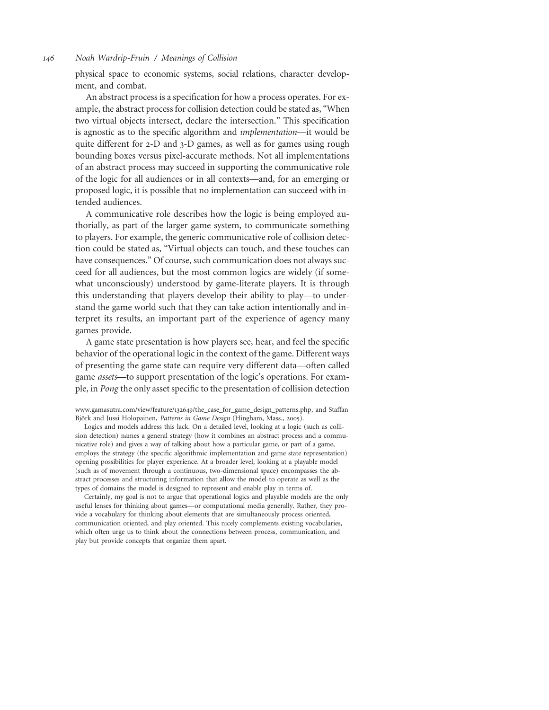physical space to economic systems, social relations, character development, and combat.

An abstract process is a specification for how a process operates. For example, the abstract process for collision detection could be stated as, "When two virtual objects intersect, declare the intersection." This specification is agnostic as to the specific algorithm and implementation—it would be quite different for 2-D and 3-D games, as well as for games using rough bounding boxes versus pixel-accurate methods. Not all implementations of an abstract process may succeed in supporting the communicative role of the logic for all audiences or in all contexts—and, for an emerging or proposed logic, it is possible that no implementation can succeed with intended audiences.

A communicative role describes how the logic is being employed authorially, as part of the larger game system, to communicate something to players. For example, the generic communicative role of collision detection could be stated as, "Virtual objects can touch, and these touches can have consequences." Of course, such communication does not always succeed for all audiences, but the most common logics are widely (if somewhat unconsciously) understood by game-literate players. It is through this understanding that players develop their ability to play—to understand the game world such that they can take action intentionally and interpret its results, an important part of the experience of agency many games provide.

A game state presentation is how players see, hear, and feel the specific behavior of the operational logic in the context of the game. Different ways of presenting the game state can require very different data—often called game assets—to support presentation of the logic's operations. For example, in Pong the only asset specific to the presentation of collision detection

Certainly, my goal is not to argue that operational logics and playable models are the only useful lenses for thinking about games—or computational media generally. Rather, they provide a vocabulary for thinking about elements that are simultaneously process oriented, communication oriented, and play oriented. This nicely complements existing vocabularies, which often urge us to think about the connections between process, communication, and play but provide concepts that organize them apart.

www.gamasutra.com/view/feature/132649/the\_case\_for\_game\_design\_patterns.php, and Staffan Björk and Jussi Holopainen, Patterns in Game Design (Hingham, Mass., 2005).

Logics and models address this lack. On a detailed level, looking at a logic (such as collision detection) names a general strategy (how it combines an abstract process and a communicative role) and gives a way of talking about how a particular game, or part of a game, employs the strategy (the specific algorithmic implementation and game state representation) opening possibilities for player experience. At a broader level, looking at a playable model (such as of movement through a continuous, two-dimensional space) encompasses the abstract processes and structuring information that allow the model to operate as well as the types of domains the model is designed to represent and enable play in terms of.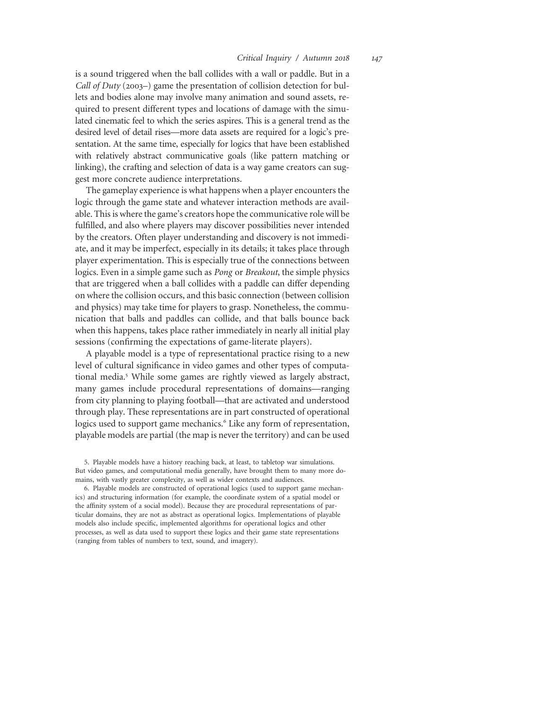is a sound triggered when the ball collides with a wall or paddle. But in a Call of Duty (2003–) game the presentation of collision detection for bullets and bodies alone may involve many animation and sound assets, required to present different types and locations of damage with the simulated cinematic feel to which the series aspires. This is a general trend as the desired level of detail rises—more data assets are required for a logic's presentation. At the same time, especially for logics that have been established with relatively abstract communicative goals (like pattern matching or linking), the crafting and selection of data is a way game creators can suggest more concrete audience interpretations.

The gameplay experience is what happens when a player encounters the logic through the game state and whatever interaction methods are available. This is where the game's creators hope the communicative role will be fulfilled, and also where players may discover possibilities never intended by the creators. Often player understanding and discovery is not immediate, and it may be imperfect, especially in its details; it takes place through player experimentation. This is especially true of the connections between logics. Even in a simple game such as Pong or Breakout, the simple physics that are triggered when a ball collides with a paddle can differ depending on where the collision occurs, and this basic connection (between collision and physics) may take time for players to grasp. Nonetheless, the communication that balls and paddles can collide, and that balls bounce back when this happens, takes place rather immediately in nearly all initial play sessions (confirming the expectations of game-literate players).

A playable model is a type of representational practice rising to a new level of cultural significance in video games and other types of computational media.<sup>5</sup> While some games are rightly viewed as largely abstract, many games include procedural representations of domains—ranging from city planning to playing football—that are activated and understood through play. These representations are in part constructed of operational logics used to support game mechanics.<sup>6</sup> Like any form of representation, playable models are partial (the map is never the territory) and can be used

<sup>5.</sup> Playable models have a history reaching back, at least, to tabletop war simulations. But video games, and computational media generally, have brought them to many more domains, with vastly greater complexity, as well as wider contexts and audiences.

<sup>6.</sup> Playable models are constructed of operational logics (used to support game mechanics) and structuring information (for example, the coordinate system of a spatial model or the affinity system of a social model). Because they are procedural representations of particular domains, they are not as abstract as operational logics. Implementations of playable models also include specific, implemented algorithms for operational logics and other processes, as well as data used to support these logics and their game state representations (ranging from tables of numbers to text, sound, and imagery).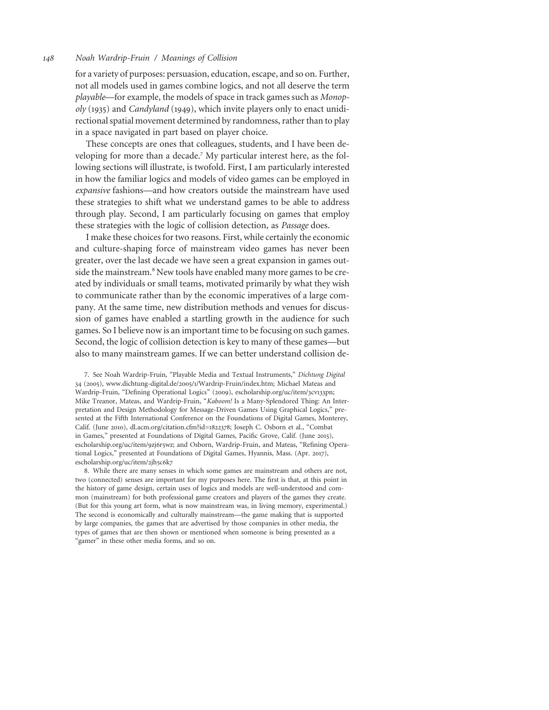for a variety of purposes: persuasion, education, escape, and so on. Further, not all models used in games combine logics, and not all deserve the term playable—for example, the models of space in track games such as Monopoly (1935) and Candyland (1949), which invite players only to enact unidirectional spatial movement determined by randomness, rather than to play in a space navigated in part based on player choice.

These concepts are ones that colleagues, students, and I have been developing for more than a decade.<sup>7</sup> My particular interest here, as the following sections will illustrate, is twofold. First, I am particularly interested in how the familiar logics and models of video games can be employed in expansive fashions—and how creators outside the mainstream have used these strategies to shift what we understand games to be able to address through play. Second, I am particularly focusing on games that employ these strategies with the logic of collision detection, as Passage does.

I make these choices for two reasons. First, while certainly the economic and culture-shaping force of mainstream video games has never been greater, over the last decade we have seen a great expansion in games outside the mainstream.<sup>8</sup> New tools have enabled many more games to be created by individuals or small teams, motivated primarily by what they wish to communicate rather than by the economic imperatives of a large company. At the same time, new distribution methods and venues for discussion of games have enabled a startling growth in the audience for such games. So I believe now is an important time to be focusing on such games. Second, the logic of collision detection is key to many of these games—but also to many mainstream games. If we can better understand collision de-

7. See Noah Wardrip-Fruin, "Playable Media and Textual Instruments," Dichtung Digital 34 (2005), www.dichtung-digital.de/2005/1/Wardrip-Fruin/index.htm; Michael Mateas and Wardrip-Fruin, "Defining Operational Logics" (2009), escholarship.org/uc/item/3cv133pn; Mike Treanor, Mateas, and Wardrip-Fruin, "Kaboom! Is a Many-Splendored Thing: An Interpretation and Design Methodology for Message-Driven Games Using Graphical Logics," presented at the Fifth International Conference on the Foundations of Digital Games, Monterey, Calif. (June 2010), dl.acm.org/citation.cfm?id=1822378; Joseph C. Osborn et al., "Combat in Games," presented at Foundations of Digital Games, Pacific Grove, Calif. (June 2015), escholarship.org/uc/item/9zj6r5wz; and Osborn, Wardrip-Fruin, and Mateas, "Refining Operational Logics," presented at Foundations of Digital Games, Hyannis, Mass. (Apr. 2017), escholarship.org/uc/item/2jh5c6k7

8. While there are many senses in which some games are mainstream and others are not, two (connected) senses are important for my purposes here. The first is that, at this point in the history of game design, certain uses of logics and models are well-understood and common (mainstream) for both professional game creators and players of the games they create. (But for this young art form, what is now mainstream was, in living memory, experimental.) The second is economically and culturally mainstream—the game making that is supported by large companies, the games that are advertised by those companies in other media, the types of games that are then shown or mentioned when someone is being presented as a "gamer" in these other media forms, and so on.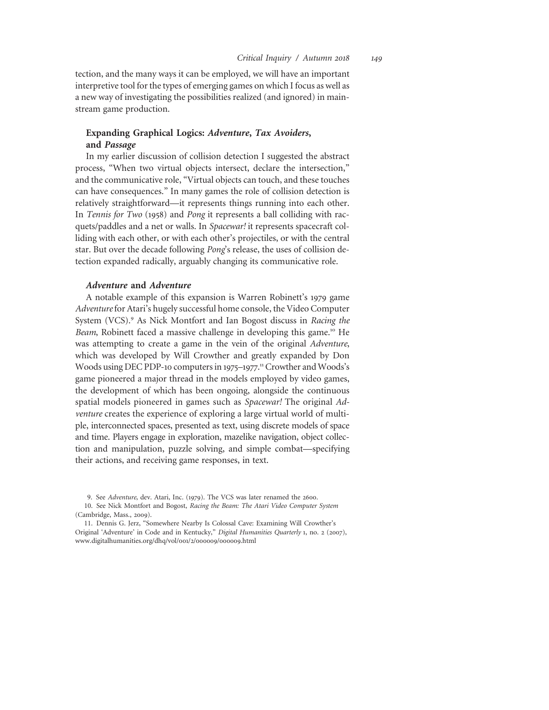tection, and the many ways it can be employed, we will have an important interpretive tool for the types of emerging games on which I focus as well as a new way of investigating the possibilities realized (and ignored) in mainstream game production.

## Expanding Graphical Logics: Adventure, Tax Avoiders, and Passage

In my earlier discussion of collision detection I suggested the abstract process, "When two virtual objects intersect, declare the intersection," and the communicative role, "Virtual objects can touch, and these touches can have consequences." In many games the role of collision detection is relatively straightforward—it represents things running into each other. In Tennis for Two (1958) and Pong it represents a ball colliding with racquets/paddles and a net or walls. In Spacewar! it represents spacecraft colliding with each other, or with each other's projectiles, or with the central star. But over the decade following Pong's release, the uses of collision detection expanded radically, arguably changing its communicative role.

## Adventure and Adventure

A notable example of this expansion is Warren Robinett's 1979 game Adventure for Atari's hugely successful home console, the Video Computer System (VCS).<sup>9</sup> As Nick Montfort and Ian Bogost discuss in Racing the Beam, Robinett faced a massive challenge in developing this game.<sup>10</sup> He was attempting to create a game in the vein of the original Adventure, which was developed by Will Crowther and greatly expanded by Don Woods using DEC PDP-10 computers in 1975-1977.<sup>11</sup> Crowther and Woods's game pioneered a major thread in the models employed by video games, the development of which has been ongoing, alongside the continuous spatial models pioneered in games such as Spacewar! The original Adventure creates the experience of exploring a large virtual world of multiple, interconnected spaces, presented as text, using discrete models of space and time. Players engage in exploration, mazelike navigation, object collection and manipulation, puzzle solving, and simple combat—specifying their actions, and receiving game responses, in text.

<sup>9.</sup> See Adventure, dev. Atari, Inc. (1979). The VCS was later renamed the 2600.

<sup>10.</sup> See Nick Montfort and Bogost, Racing the Beam: The Atari Video Computer System (Cambridge, Mass., 2009).

<sup>11.</sup> Dennis G. Jerz, "Somewhere Nearby Is Colossal Cave: Examining Will Crowther's Original 'Adventure' in Code and in Kentucky," Digital Humanities Quarterly 1, no. 2 (2007), www.digitalhumanities.org/dhq/vol/001/2/000009/000009.html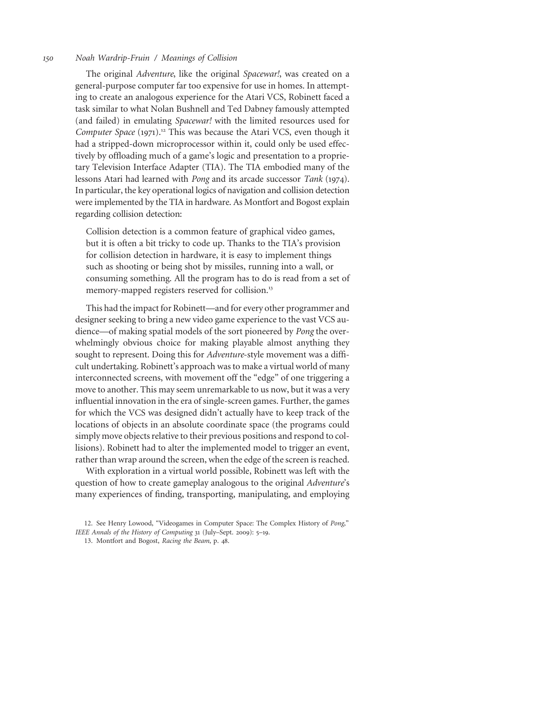The original Adventure, like the original Spacewar!, was created on a general-purpose computer far too expensive for use in homes. In attempting to create an analogous experience for the Atari VCS, Robinett faced a task similar to what Nolan Bushnell and Ted Dabney famously attempted (and failed) in emulating Spacewar! with the limited resources used for Computer Space (1971).<sup>12</sup> This was because the Atari VCS, even though it had a stripped-down microprocessor within it, could only be used effectively by offloading much of a game's logic and presentation to a proprietary Television Interface Adapter (TIA). The TIA embodied many of the lessons Atari had learned with Pong and its arcade successor Tank (1974). In particular, the key operational logics of navigation and collision detection were implemented by the TIA in hardware. As Montfort and Bogost explain regarding collision detection:

Collision detection is a common feature of graphical video games, but it is often a bit tricky to code up. Thanks to the TIA's provision for collision detection in hardware, it is easy to implement things such as shooting or being shot by missiles, running into a wall, or consuming something. All the program has to do is read from a set of memory-mapped registers reserved for collision.<sup>13</sup>

This had the impact for Robinett—and for every other programmer and designer seeking to bring a new video game experience to the vast VCS audience—of making spatial models of the sort pioneered by Pong the overwhelmingly obvious choice for making playable almost anything they sought to represent. Doing this for Adventure-style movement was a difficult undertaking. Robinett's approach was to make a virtual world of many interconnected screens, with movement off the "edge" of one triggering a move to another. This may seem unremarkable to us now, but it was a very influential innovation in the era of single-screen games. Further, the games for which the VCS was designed didn't actually have to keep track of the locations of objects in an absolute coordinate space (the programs could simply move objects relative to their previous positions and respond to collisions). Robinett had to alter the implemented model to trigger an event, rather than wrap around the screen, when the edge of the screen is reached.

With exploration in a virtual world possible, Robinett was left with the question of how to create gameplay analogous to the original Adventure's many experiences of finding, transporting, manipulating, and employing

<sup>12.</sup> See Henry Lowood, "Videogames in Computer Space: The Complex History of Pong," IEEE Annals of the History of Computing 31 (July–Sept. 2009): 5–19.

<sup>13.</sup> Montfort and Bogost, Racing the Beam, p. 48.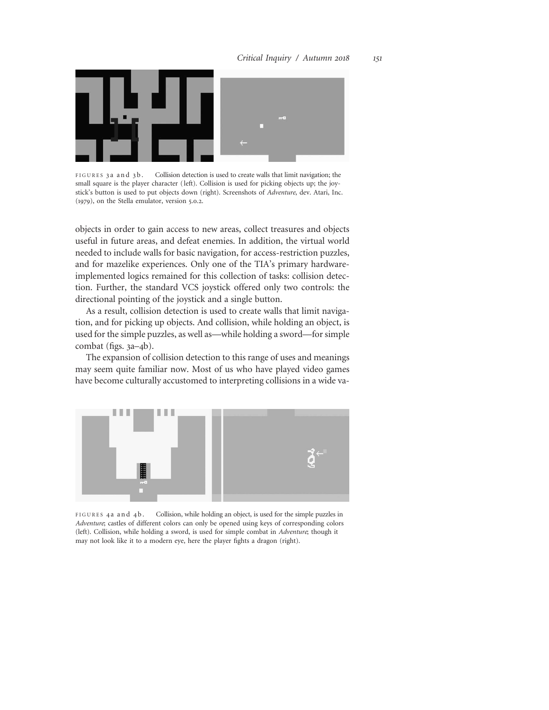

FIGURES 3a and 3b. Collision detection is used to create walls that limit navigation; the small square is the player character ( left). Collision is used for picking objects up; the joystick's button is used to put objects down (right). Screenshots of Adventure, dev. Atari, Inc. (1979), on the Stella emulator, version 5.0.2.

objects in order to gain access to new areas, collect treasures and objects useful in future areas, and defeat enemies. In addition, the virtual world needed to include walls for basic navigation, for access-restriction puzzles, and for mazelike experiences. Only one of the TIA's primary hardwareimplemented logics remained for this collection of tasks: collision detection. Further, the standard VCS joystick offered only two controls: the directional pointing of the joystick and a single button.

As a result, collision detection is used to create walls that limit navigation, and for picking up objects. And collision, while holding an object, is used for the simple puzzles, as well as—while holding a sword—for simple combat (figs. 3a–4b).

The expansion of collision detection to this range of uses and meanings may seem quite familiar now. Most of us who have played video games have become culturally accustomed to interpreting collisions in a wide va-



FIGURES 4a and 4b. Collision, while holding an object, is used for the simple puzzles in Adventure; castles of different colors can only be opened using keys of corresponding colors (left). Collision, while holding a sword, is used for simple combat in Adventure; though it may not look like it to a modern eye, here the player fights a dragon (right).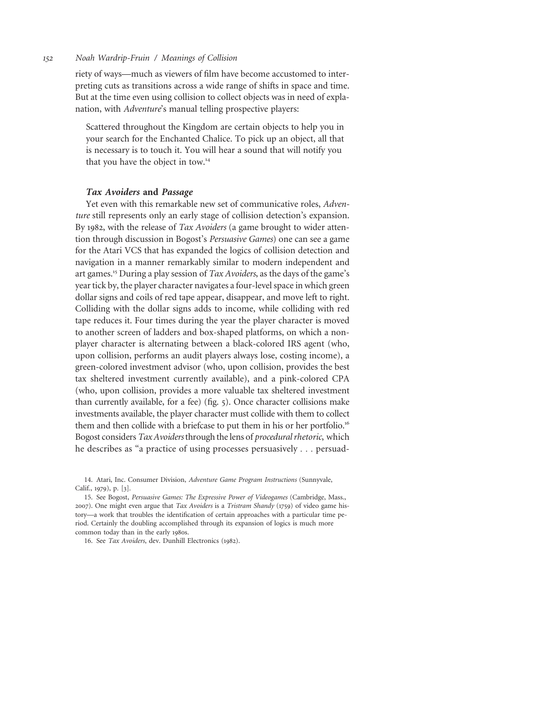riety of ways—much as viewers of film have become accustomed to interpreting cuts as transitions across a wide range of shifts in space and time. But at the time even using collision to collect objects was in need of explanation, with Adventure's manual telling prospective players:

Scattered throughout the Kingdom are certain objects to help you in your search for the Enchanted Chalice. To pick up an object, all that is necessary is to touch it. You will hear a sound that will notify you that you have the object in tow.<sup>14</sup>

## Tax Avoiders and Passage

Yet even with this remarkable new set of communicative roles, Adventure still represents only an early stage of collision detection's expansion. By 1982, with the release of Tax Avoiders (a game brought to wider attention through discussion in Bogost's Persuasive Games) one can see a game for the Atari VCS that has expanded the logics of collision detection and navigation in a manner remarkably similar to modern independent and art games.<sup>15</sup> During a play session of Tax Avoiders, as the days of the game's year tick by, the player character navigates a four-level space in which green dollar signs and coils of red tape appear, disappear, and move left to right. Colliding with the dollar signs adds to income, while colliding with red tape reduces it. Four times during the year the player character is moved to another screen of ladders and box-shaped platforms, on which a nonplayer character is alternating between a black-colored IRS agent (who, upon collision, performs an audit players always lose, costing income), a green-colored investment advisor (who, upon collision, provides the best tax sheltered investment currently available), and a pink-colored CPA (who, upon collision, provides a more valuable tax sheltered investment than currently available, for a fee) (fig. 5). Once character collisions make investments available, the player character must collide with them to collect them and then collide with a briefcase to put them in his or her portfolio.<sup>16</sup> Bogost considers Tax Avoiders through the lens of procedural rhetoric, which he describes as "a practice of using processes persuasively ... persuad-

14. Atari, Inc. Consumer Division, Adventure Game Program Instructions (Sunnyvale, Calif., 1979), p. [3].

15. See Bogost, Persuasive Games: The Expressive Power of Videogames (Cambridge, Mass., 2007). One might even argue that Tax Avoiders is a Tristram Shandy (1759) of video game history—a work that troubles the identification of certain approaches with a particular time period. Certainly the doubling accomplished through its expansion of logics is much more common today than in the early 1980s.

16. See Tax Avoiders, dev. Dunhill Electronics (1982).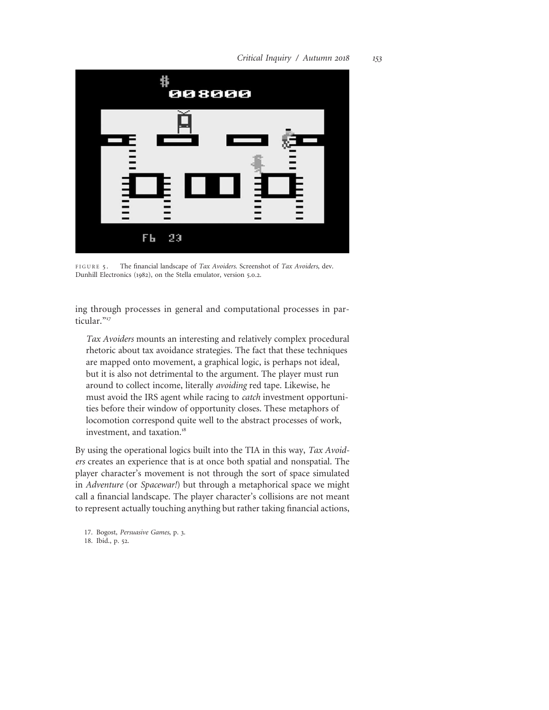

FIGURE 5. The financial landscape of Tax Avoiders. Screenshot of Tax Avoiders, dev. Dunhill Electronics (1982), on the Stella emulator, version 5.0.2.

ing through processes in general and computational processes in particular."<sup>17</sup>

Tax Avoiders mounts an interesting and relatively complex procedural rhetoric about tax avoidance strategies. The fact that these techniques are mapped onto movement, a graphical logic, is perhaps not ideal, but it is also not detrimental to the argument. The player must run around to collect income, literally avoiding red tape. Likewise, he must avoid the IRS agent while racing to *catch* investment opportunities before their window of opportunity closes. These metaphors of locomotion correspond quite well to the abstract processes of work, investment, and taxation.<sup>18</sup>

By using the operational logics built into the TIA in this way, Tax Avoiders creates an experience that is at once both spatial and nonspatial. The player character's movement is not through the sort of space simulated in Adventure (or Spacewar!) but through a metaphorical space we might call a financial landscape. The player character's collisions are not meant to represent actually touching anything but rather taking financial actions,

17. Bogost, Persuasive Games, p. 3. 18. Ibid., p. 52.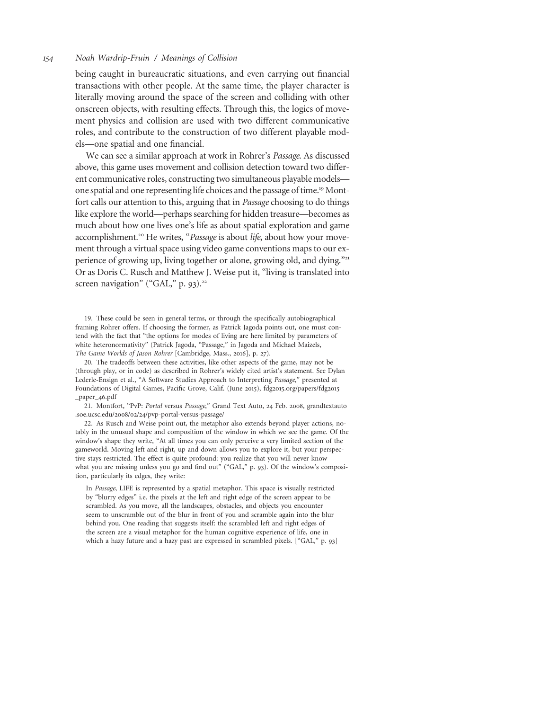being caught in bureaucratic situations, and even carrying out financial transactions with other people. At the same time, the player character is literally moving around the space of the screen and colliding with other onscreen objects, with resulting effects. Through this, the logics of movement physics and collision are used with two different communicative roles, and contribute to the construction of two different playable models—one spatial and one financial.

We can see a similar approach at work in Rohrer's Passage. As discussed above, this game uses movement and collision detection toward two different communicative roles, constructing two simultaneous playable models one spatial and one representing life choices and the passage of time.<sup>19</sup> Montfort calls our attention to this, arguing that in Passage choosing to do things like explore the world—perhaps searching for hidden treasure—becomes as much about how one lives one's life as about spatial exploration and game accomplishment.<sup>20</sup> He writes, "Passage is about life, about how your movement through a virtual space using video game conventions maps to our experience of growing up, living together or alone, growing old, and dying."<sup>21</sup> Or as Doris C. Rusch and Matthew J. Weise put it, "living is translated into screen navigation" ("GAL," p. 93). $22$ 

19. These could be seen in general terms, or through the specifically autobiographical framing Rohrer offers. If choosing the former, as Patrick Jagoda points out, one must contend with the fact that "the options for modes of living are here limited by parameters of white heteronormativity" (Patrick Jagoda, "Passage," in Jagoda and Michael Maizels, The Game Worlds of Jason Rohrer [Cambridge, Mass., 2016], p. 27).

20. The tradeoffs between these activities, like other aspects of the game, may not be (through play, or in code) as described in Rohrer's widely cited artist's statement. See Dylan Lederle-Ensign et al., "A Software Studies Approach to Interpreting Passage," presented at Foundations of Digital Games, Pacific Grove, Calif. (June 2015), fdg2015.org/papers/fdg2015 \_paper\_46.pdf

21. Montfort, "PvP: Portal versus Passage," Grand Text Auto, 24 Feb. 2008, grandtextauto .soe.ucsc.edu/2008/02/24/pvp-portal-versus-passage/

22. As Rusch and Weise point out, the metaphor also extends beyond player actions, notably in the unusual shape and composition of the window in which we see the game. Of the window's shape they write, "At all times you can only perceive a very limited section of the gameworld. Moving left and right, up and down allows you to explore it, but your perspective stays restricted. The effect is quite profound: you realize that you will never know what you are missing unless you go and find out" ("GAL," p. 93). Of the window's composition, particularly its edges, they write:

In Passage, LIFE is represented by a spatial metaphor. This space is visually restricted by "blurry edges" i.e. the pixels at the left and right edge of the screen appear to be scrambled. As you move, all the landscapes, obstacles, and objects you encounter seem to unscramble out of the blur in front of you and scramble again into the blur behind you. One reading that suggests itself: the scrambled left and right edges of the screen are a visual metaphor for the human cognitive experience of life, one in which a hazy future and a hazy past are expressed in scrambled pixels. ["GAL," p. 93]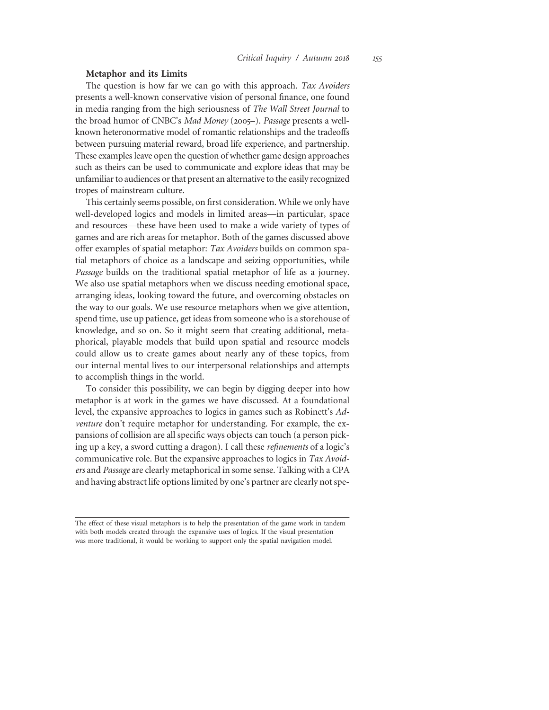## Metaphor and its Limits

The question is how far we can go with this approach. Tax Avoiders presents a well-known conservative vision of personal finance, one found in media ranging from the high seriousness of The Wall Street Journal to the broad humor of CNBC's Mad Money (2005–). Passage presents a wellknown heteronormative model of romantic relationships and the tradeoffs between pursuing material reward, broad life experience, and partnership. These examples leave open the question of whether game design approaches such as theirs can be used to communicate and explore ideas that may be unfamiliar to audiences or that present an alternative to the easily recognized tropes of mainstream culture.

This certainly seems possible, on first consideration. While we only have well-developed logics and models in limited areas—in particular, space and resources—these have been used to make a wide variety of types of games and are rich areas for metaphor. Both of the games discussed above offer examples of spatial metaphor: Tax Avoiders builds on common spatial metaphors of choice as a landscape and seizing opportunities, while Passage builds on the traditional spatial metaphor of life as a journey. We also use spatial metaphors when we discuss needing emotional space, arranging ideas, looking toward the future, and overcoming obstacles on the way to our goals. We use resource metaphors when we give attention, spend time, use up patience, get ideas from someone who is a storehouse of knowledge, and so on. So it might seem that creating additional, metaphorical, playable models that build upon spatial and resource models could allow us to create games about nearly any of these topics, from our internal mental lives to our interpersonal relationships and attempts to accomplish things in the world.

To consider this possibility, we can begin by digging deeper into how metaphor is at work in the games we have discussed. At a foundational level, the expansive approaches to logics in games such as Robinett's Adventure don't require metaphor for understanding. For example, the expansions of collision are all specific ways objects can touch (a person picking up a key, a sword cutting a dragon). I call these refinements of a logic's communicative role. But the expansive approaches to logics in Tax Avoiders and Passage are clearly metaphorical in some sense. Talking with a CPA and having abstract life options limited by one's partner are clearly not spe-

The effect of these visual metaphors is to help the presentation of the game work in tandem with both models created through the expansive uses of logics. If the visual presentation was more traditional, it would be working to support only the spatial navigation model.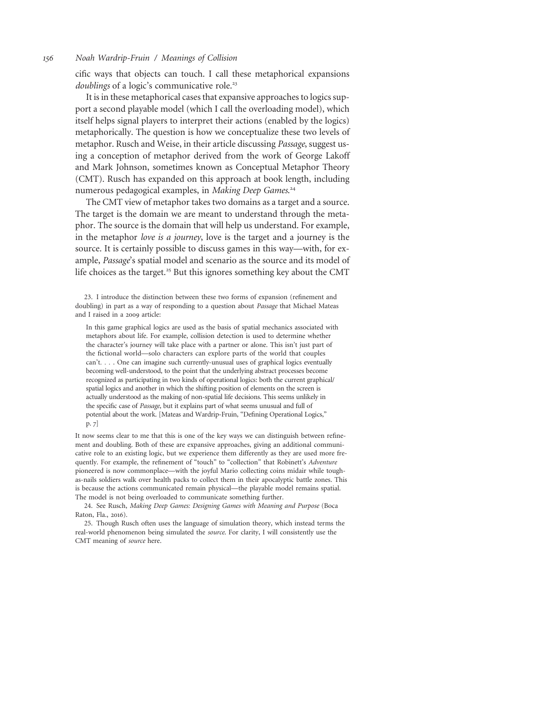cific ways that objects can touch. I call these metaphorical expansions doublings of a logic's communicative role.<sup>23</sup>

It is in these metaphorical cases that expansive approaches to logics support a second playable model (which I call the overloading model), which itself helps signal players to interpret their actions (enabled by the logics) metaphorically. The question is how we conceptualize these two levels of metaphor. Rusch and Weise, in their article discussing Passage, suggest using a conception of metaphor derived from the work of George Lakoff and Mark Johnson, sometimes known as Conceptual Metaphor Theory (CMT). Rusch has expanded on this approach at book length, including numerous pedagogical examples, in Making Deep Games.<sup>24</sup>

The CMT view of metaphor takes two domains as a target and a source. The target is the domain we are meant to understand through the metaphor. The source is the domain that will help us understand. For example, in the metaphor love is a journey, love is the target and a journey is the source. It is certainly possible to discuss games in this way—with, for example, Passage's spatial model and scenario as the source and its model of life choices as the target.<sup>25</sup> But this ignores something key about the CMT

23. I introduce the distinction between these two forms of expansion (refinement and doubling) in part as a way of responding to a question about Passage that Michael Mateas and I raised in a 2009 article:

In this game graphical logics are used as the basis of spatial mechanics associated with metaphors about life. For example, collision detection is used to determine whether the character's journey will take place with a partner or alone. This isn't just part of the fictional world—solo characters can explore parts of the world that couples can't... . One can imagine such currently-unusual uses of graphical logics eventually becoming well-understood, to the point that the underlying abstract processes become recognized as participating in two kinds of operational logics: both the current graphical/ spatial logics and another in which the shifting position of elements on the screen is actually understood as the making of non-spatial life decisions. This seems unlikely in the specific case of Passage, but it explains part of what seems unusual and full of potential about the work. [Mateas and Wardrip-Fruin, "Defining Operational Logics," p. 7]

It now seems clear to me that this is one of the key ways we can distinguish between refinement and doubling. Both of these are expansive approaches, giving an additional communicative role to an existing logic, but we experience them differently as they are used more frequently. For example, the refinement of "touch" to "collection" that Robinett's Adventure pioneered is now commonplace—with the joyful Mario collecting coins midair while toughas-nails soldiers walk over health packs to collect them in their apocalyptic battle zones. This is because the actions communicated remain physical—the playable model remains spatial. The model is not being overloaded to communicate something further.

24. See Rusch, Making Deep Games: Designing Games with Meaning and Purpose (Boca Raton, Fla., 2016).

25. Though Rusch often uses the language of simulation theory, which instead terms the real-world phenomenon being simulated the source. For clarity, I will consistently use the CMT meaning of source here.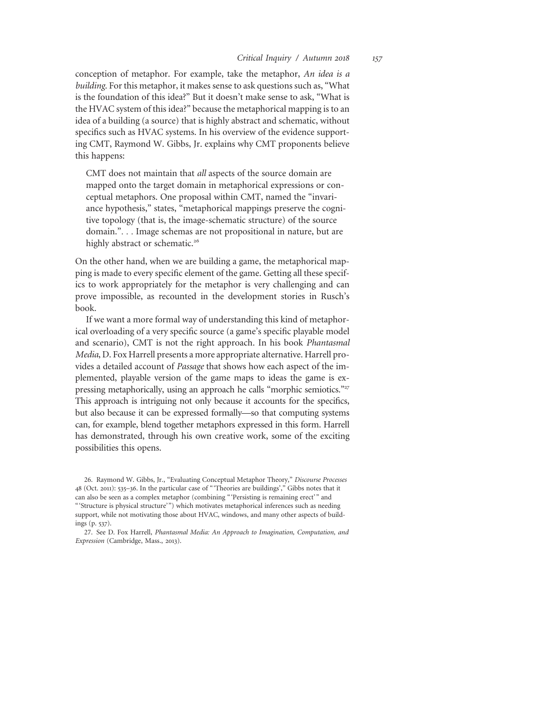conception of metaphor. For example, take the metaphor, An idea is a building. For this metaphor, it makes sense to ask questions such as, "What is the foundation of this idea?" But it doesn't make sense to ask, "What is the HVAC system of this idea?" because the metaphorical mapping is to an idea of a building (a source) that is highly abstract and schematic, without specifics such as HVAC systems. In his overview of the evidence supporting CMT, Raymond W. Gibbs, Jr. explains why CMT proponents believe this happens:

CMT does not maintain that all aspects of the source domain are mapped onto the target domain in metaphorical expressions or conceptual metaphors. One proposal within CMT, named the "invariance hypothesis," states, "metaphorical mappings preserve the cognitive topology (that is, the image-schematic structure) of the source domain."... Image schemas are not propositional in nature, but are highly abstract or schematic.<sup>26</sup>

On the other hand, when we are building a game, the metaphorical mapping is made to every specific element of the game. Getting all these specifics to work appropriately for the metaphor is very challenging and can prove impossible, as recounted in the development stories in Rusch's book.

If we want a more formal way of understanding this kind of metaphorical overloading of a very specific source (a game's specific playable model and scenario), CMT is not the right approach. In his book Phantasmal Media, D. Fox Harrell presents a more appropriate alternative. Harrell provides a detailed account of Passage that shows how each aspect of the implemented, playable version of the game maps to ideas the game is expressing metaphorically, using an approach he calls "morphic semiotics."<sup>27</sup> This approach is intriguing not only because it accounts for the specifics, but also because it can be expressed formally—so that computing systems can, for example, blend together metaphors expressed in this form. Harrell has demonstrated, through his own creative work, some of the exciting possibilities this opens.

<sup>26.</sup> Raymond W. Gibbs, Jr., "Evaluating Conceptual Metaphor Theory," Discourse Processes 48 (Oct. 2011): 535–36. In the particular case of "'Theories are buildings'," Gibbs notes that it can also be seen as a complex metaphor (combining "'Persisting is remaining erect'" and "'Structure is physical structure'") which motivates metaphorical inferences such as needing support, while not motivating those about HVAC, windows, and many other aspects of buildings (p. 537).

<sup>27.</sup> See D. Fox Harrell, Phantasmal Media: An Approach to Imagination, Computation, and Expression (Cambridge, Mass., 2013).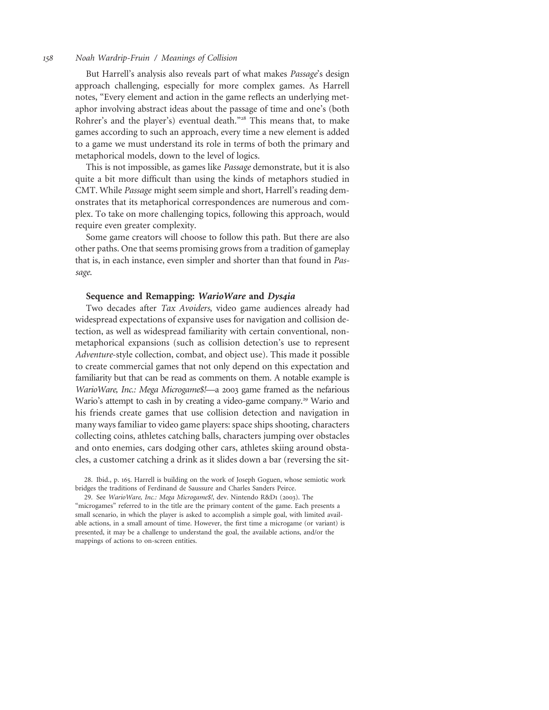But Harrell's analysis also reveals part of what makes Passage's design approach challenging, especially for more complex games. As Harrell notes, "Every element and action in the game reflects an underlying metaphor involving abstract ideas about the passage of time and one's (both Rohrer's and the player's) eventual death."<sup>28</sup> This means that, to make games according to such an approach, every time a new element is added to a game we must understand its role in terms of both the primary and metaphorical models, down to the level of logics.

This is not impossible, as games like Passage demonstrate, but it is also quite a bit more difficult than using the kinds of metaphors studied in CMT. While Passage might seem simple and short, Harrell's reading demonstrates that its metaphorical correspondences are numerous and complex. To take on more challenging topics, following this approach, would require even greater complexity.

Some game creators will choose to follow this path. But there are also other paths. One that seems promising grows from a tradition of gameplay that is, in each instance, even simpler and shorter than that found in Passage.

## Sequence and Remapping: WarioWare and Dys4ia

Two decades after Tax Avoiders, video game audiences already had widespread expectations of expansive uses for navigation and collision detection, as well as widespread familiarity with certain conventional, nonmetaphorical expansions (such as collision detection's use to represent Adventure-style collection, combat, and object use). This made it possible to create commercial games that not only depend on this expectation and familiarity but that can be read as comments on them. A notable example is WarioWare, Inc.: Mega Microgame\$!—a 2003 game framed as the nefarious Wario's attempt to cash in by creating a video-game company.<sup>29</sup> Wario and his friends create games that use collision detection and navigation in many ways familiar to video game players: space ships shooting, characters collecting coins, athletes catching balls, characters jumping over obstacles and onto enemies, cars dodging other cars, athletes skiing around obstacles, a customer catching a drink as it slides down a bar (reversing the sit-

28. Ibid., p. 165. Harrell is building on the work of Joseph Goguen, whose semiotic work bridges the traditions of Ferdinand de Saussure and Charles Sanders Peirce.

29. See WarioWare, Inc.: Mega Microgame\$!, dev. Nintendo R&D1 (2003). The "microgames" referred to in the title are the primary content of the game. Each presents a small scenario, in which the player is asked to accomplish a simple goal, with limited available actions, in a small amount of time. However, the first time a microgame (or variant) is presented, it may be a challenge to understand the goal, the available actions, and/or the mappings of actions to on-screen entities.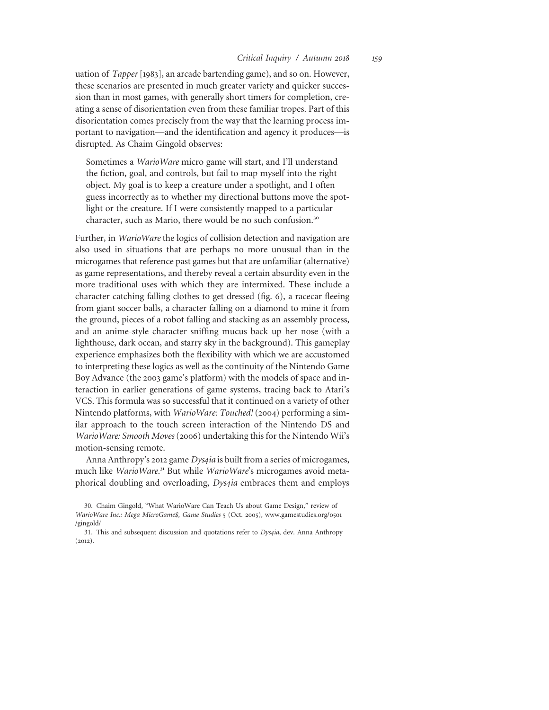uation of Tapper [1983], an arcade bartending game), and so on. However, these scenarios are presented in much greater variety and quicker succession than in most games, with generally short timers for completion, creating a sense of disorientation even from these familiar tropes. Part of this disorientation comes precisely from the way that the learning process important to navigation—and the identification and agency it produces—is disrupted. As Chaim Gingold observes:

Sometimes a WarioWare micro game will start, and I'll understand the fiction, goal, and controls, but fail to map myself into the right object. My goal is to keep a creature under a spotlight, and I often guess incorrectly as to whether my directional buttons move the spotlight or the creature. If I were consistently mapped to a particular character, such as Mario, there would be no such confusion.<sup>30</sup>

Further, in WarioWare the logics of collision detection and navigation are also used in situations that are perhaps no more unusual than in the microgames that reference past games but that are unfamiliar (alternative) as game representations, and thereby reveal a certain absurdity even in the more traditional uses with which they are intermixed. These include a character catching falling clothes to get dressed (fig. 6), a racecar fleeing from giant soccer balls, a character falling on a diamond to mine it from the ground, pieces of a robot falling and stacking as an assembly process, and an anime-style character sniffing mucus back up her nose (with a lighthouse, dark ocean, and starry sky in the background). This gameplay experience emphasizes both the flexibility with which we are accustomed to interpreting these logics as well as the continuity of the Nintendo Game Boy Advance (the 2003 game's platform) with the models of space and interaction in earlier generations of game systems, tracing back to Atari's VCS. This formula was so successful that it continued on a variety of other Nintendo platforms, with WarioWare: Touched! (2004) performing a similar approach to the touch screen interaction of the Nintendo DS and WarioWare: Smooth Moves (2006) undertaking this for the Nintendo Wii's motion-sensing remote.

Anna Anthropy's 2012 game *Dys4ia* is built from a series of microgames, much like WarioWare.<sup>31</sup> But while WarioWare's microgames avoid metaphorical doubling and overloading, Dys4ia embraces them and employs

<sup>30.</sup> Chaim Gingold, "What WarioWare Can Teach Us about Game Design," review of WarioWare Inc.: Mega MicroGame\$, Game Studies 5 (Oct. 2005), www.gamestudies.org/0501 /gingold/

<sup>31.</sup> This and subsequent discussion and quotations refer to Dys4ia, dev. Anna Anthropy (2012).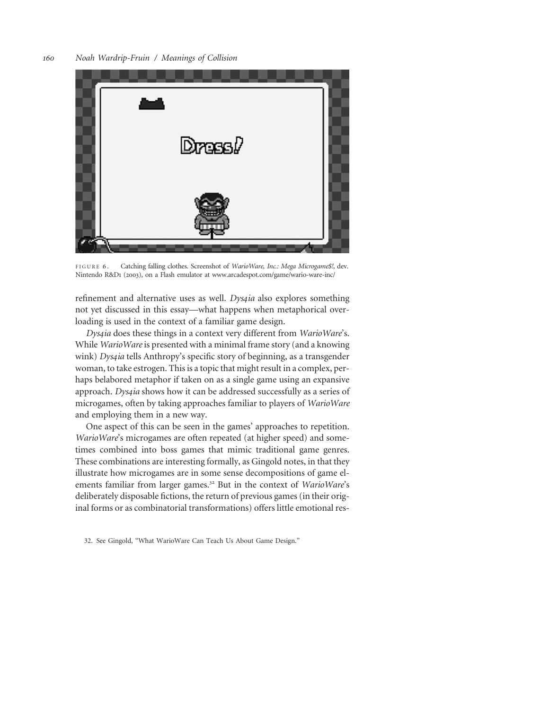

FIGURE 6. Catching falling clothes. Screenshot of WarioWare, Inc.: Mega Microgame\$!, dev. Nintendo R&D1 (2003), on a Flash emulator at www.arcadespot.com/game/wario-ware-inc/

refinement and alternative uses as well. *Dys4ia* also explores something not yet discussed in this essay—what happens when metaphorical overloading is used in the context of a familiar game design.

Dys4ia does these things in a context very different from WarioWare's. While WarioWare is presented with a minimal frame story (and a knowing wink) Dys4ia tells Anthropy's specific story of beginning, as a transgender woman, to take estrogen. This is a topic that might result in a complex, perhaps belabored metaphor if taken on as a single game using an expansive approach. Dys4ia shows how it can be addressed successfully as a series of microgames, often by taking approaches familiar to players of WarioWare and employing them in a new way.

One aspect of this can be seen in the games' approaches to repetition. WarioWare's microgames are often repeated (at higher speed) and sometimes combined into boss games that mimic traditional game genres. These combinations are interesting formally, as Gingold notes, in that they illustrate how microgames are in some sense decompositions of game elements familiar from larger games.<sup>32</sup> But in the context of WarioWare's deliberately disposable fictions, the return of previous games (in their original forms or as combinatorial transformations) offers little emotional res-

<sup>32.</sup> See Gingold, "What WarioWare Can Teach Us About Game Design."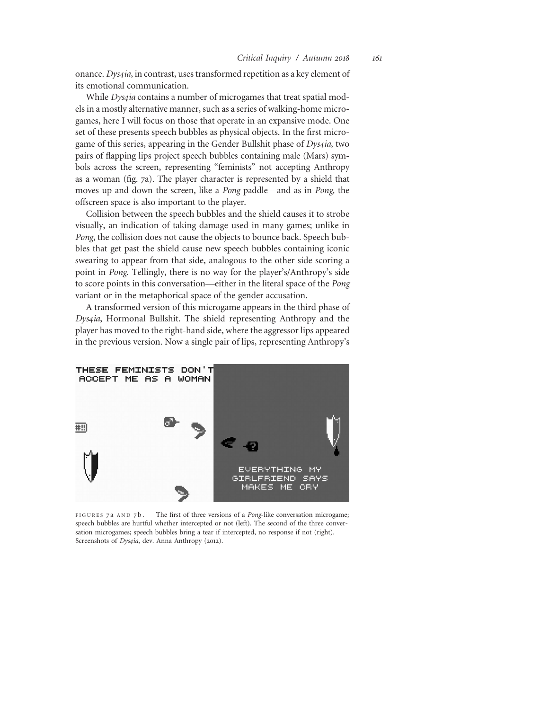onance. Dys4ia, in contrast, uses transformed repetition as a key element of its emotional communication.

While *Dys4ia* contains a number of microgames that treat spatial models in a mostly alternative manner, such as a series of walking-home microgames, here I will focus on those that operate in an expansive mode. One set of these presents speech bubbles as physical objects. In the first microgame of this series, appearing in the Gender Bullshit phase of *Dys4ia*, two pairs of flapping lips project speech bubbles containing male (Mars) symbols across the screen, representing "feminists" not accepting Anthropy as a woman (fig. 7a). The player character is represented by a shield that moves up and down the screen, like a Pong paddle—and as in Pong, the offscreen space is also important to the player.

Collision between the speech bubbles and the shield causes it to strobe visually, an indication of taking damage used in many games; unlike in Pong, the collision does not cause the objects to bounce back. Speech bubbles that get past the shield cause new speech bubbles containing iconic swearing to appear from that side, analogous to the other side scoring a point in Pong. Tellingly, there is no way for the player's/Anthropy's side to score points in this conversation—either in the literal space of the Pong variant or in the metaphorical space of the gender accusation.

A transformed version of this microgame appears in the third phase of Dys4ia, Hormonal Bullshit. The shield representing Anthropy and the player has moved to the right-hand side, where the aggressor lips appeared in the previous version. Now a single pair of lips, representing Anthropy's



FIGURES 7a AND 7b. The first of three versions of a *Pong*-like conversation microgame; speech bubbles are hurtful whether intercepted or not (left). The second of the three conversation microgames; speech bubbles bring a tear if intercepted, no response if not (right). Screenshots of Dys4ia, dev. Anna Anthropy (2012).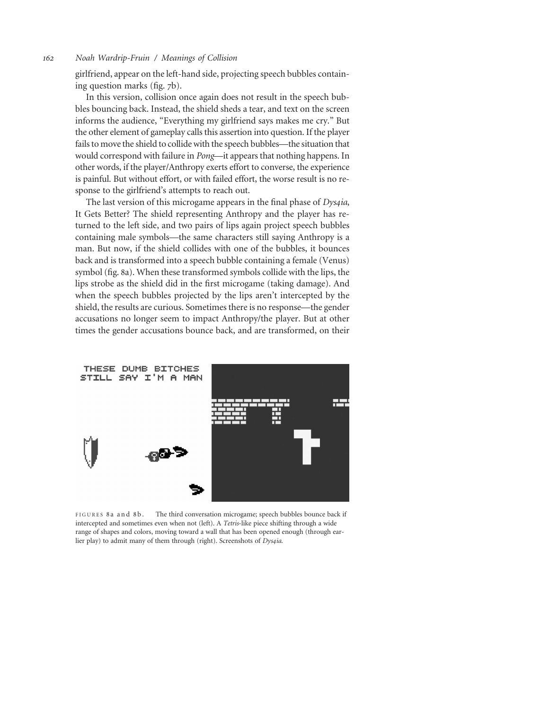girlfriend, appear on the left-hand side, projecting speech bubbles containing question marks (fig. 7b).

In this version, collision once again does not result in the speech bubbles bouncing back. Instead, the shield sheds a tear, and text on the screen informs the audience, "Everything my girlfriend says makes me cry." But the other element of gameplay calls this assertion into question. If the player fails to move the shield to collide with the speech bubbles—the situation that would correspond with failure in Pong—it appears that nothing happens. In other words, if the player/Anthropy exerts effort to converse, the experience is painful. But without effort, or with failed effort, the worse result is no response to the girlfriend's attempts to reach out.

The last version of this microgame appears in the final phase of Dys4ia, It Gets Better? The shield representing Anthropy and the player has returned to the left side, and two pairs of lips again project speech bubbles containing male symbols—the same characters still saying Anthropy is a man. But now, if the shield collides with one of the bubbles, it bounces back and is transformed into a speech bubble containing a female (Venus) symbol (fig. 8a). When these transformed symbols collide with the lips, the lips strobe as the shield did in the first microgame (taking damage). And when the speech bubbles projected by the lips aren't intercepted by the shield, the results are curious. Sometimes there is no response—the gender accusations no longer seem to impact Anthropy/the player. But at other times the gender accusations bounce back, and are transformed, on their



FIGURES 8a and 8b. The third conversation microgame; speech bubbles bounce back if intercepted and sometimes even when not (left). A Tetris-like piece shifting through a wide range of shapes and colors, moving toward a wall that has been opened enough (through earlier play) to admit many of them through (right). Screenshots of Dys4ia.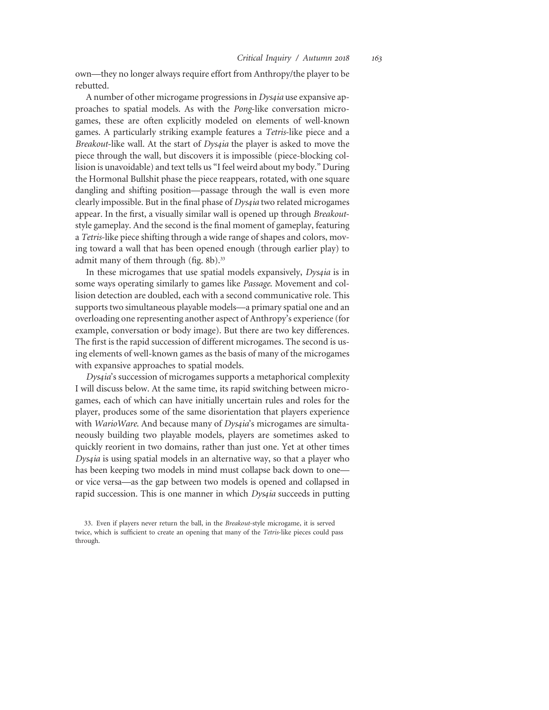own—they no longer always require effort from Anthropy/the player to be rebutted.

A number of other microgame progressions in *Dys4ia* use expansive approaches to spatial models. As with the Pong-like conversation microgames, these are often explicitly modeled on elements of well-known games. A particularly striking example features a Tetris-like piece and a Breakout-like wall. At the start of *Dys4ia* the player is asked to move the piece through the wall, but discovers it is impossible (piece-blocking collision is unavoidable) and text tells us "I feel weird about my body." During the Hormonal Bullshit phase the piece reappears, rotated, with one square dangling and shifting position—passage through the wall is even more clearly impossible. But in the final phase of *Dys4ia* two related microgames appear. In the first, a visually similar wall is opened up through Breakoutstyle gameplay. And the second is the final moment of gameplay, featuring a Tetris-like piece shifting through a wide range of shapes and colors, moving toward a wall that has been opened enough (through earlier play) to admit many of them through (fig. 8b).<sup>33</sup>

In these microgames that use spatial models expansively, *Dys4ia* is in some ways operating similarly to games like Passage. Movement and collision detection are doubled, each with a second communicative role. This supports two simultaneous playable models—a primary spatial one and an overloading one representing another aspect of Anthropy's experience (for example, conversation or body image). But there are two key differences. The first is the rapid succession of different microgames. The second is using elements of well-known games as the basis of many of the microgames with expansive approaches to spatial models.

Dys4ia's succession of microgames supports a metaphorical complexity I will discuss below. At the same time, its rapid switching between microgames, each of which can have initially uncertain rules and roles for the player, produces some of the same disorientation that players experience with WarioWare. And because many of Dys4ia's microgames are simultaneously building two playable models, players are sometimes asked to quickly reorient in two domains, rather than just one. Yet at other times Dys4ia is using spatial models in an alternative way, so that a player who has been keeping two models in mind must collapse back down to one or vice versa—as the gap between two models is opened and collapsed in rapid succession. This is one manner in which *Dys4ia* succeeds in putting

<sup>33.</sup> Even if players never return the ball, in the Breakout-style microgame, it is served twice, which is sufficient to create an opening that many of the Tetris-like pieces could pass through.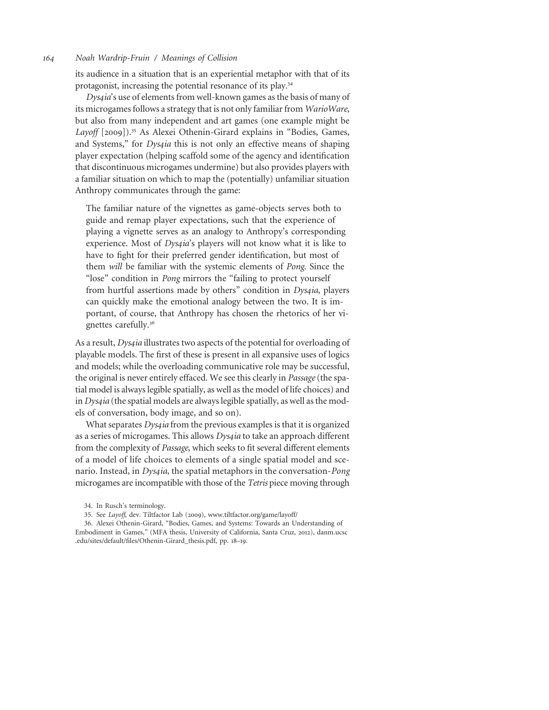its audience in a situation that is an experiential metaphor with that of its protagonist, increasing the potential resonance of its play.<sup>34</sup>

Dys4ia's use of elements from well-known games as the basis of many of its microgames follows a strategy that is not only familiar from WarioWare, but also from many independent and art games (one example might be Layoff [2009]).<sup>35</sup> As Alexei Othenin-Girard explains in "Bodies, Games, and Systems," for *Dys4ia* this is not only an effective means of shaping player expectation (helping scaffold some of the agency and identification that discontinuous microgames undermine) but also provides players with a familiar situation on which to map the (potentially) unfamiliar situation Anthropy communicates through the game:

The familiar nature of the vignettes as game-objects serves both to guide and remap player expectations, such that the experience of playing a vignette serves as an analogy to Anthropy's corresponding experience. Most of *Dys4ia's* players will not know what it is like to have to fight for their preferred gender identification, but most of them will be familiar with the systemic elements of Pong. Since the "lose" condition in Pong mirrors the "failing to protect yourself from hurtful assertions made by others" condition in *Dys4ia*, players can quickly make the emotional analogy between the two. It is important, of course, that Anthropy has chosen the rhetorics of her vignettes carefully.<sup>36</sup>

As a result, *Dys4ia* illustrates two aspects of the potential for overloading of playable models. The first of these is present in all expansive uses of logics and models; while the overloading communicative role may be successful, the original is never entirely effaced. We see this clearly in Passage (the spatial model is always legible spatially, as well as the model of life choices) and in Dys4ia (the spatial models are always legible spatially, as well as the models of conversation, body image, and so on).

What separates Dys4ia from the previous examples is that it is organized as a series of microgames. This allows *Dys4ia* to take an approach different from the complexity of Passage, which seeks to fit several different elements of a model of life choices to elements of a single spatial model and scenario. Instead, in *Dys4ia*, the spatial metaphors in the conversation-*Pong* microgames are incompatible with those of the Tetris piece moving through

<sup>34.</sup> In Rusch's terminology.

<sup>35.</sup> See Layoff, dev. Tiltfactor Lab (2009), www.tiltfactor.org/game/layoff/

<sup>36.</sup> Alexei Othenin-Girard, "Bodies, Games, and Systems: Towards an Understanding of Embodiment in Games," (MFA thesis, University of California, Santa Cruz, 2012), danm.ucsc .edu/sites/default/files/Othenin-Girard\_thesis.pdf, pp. 18–19.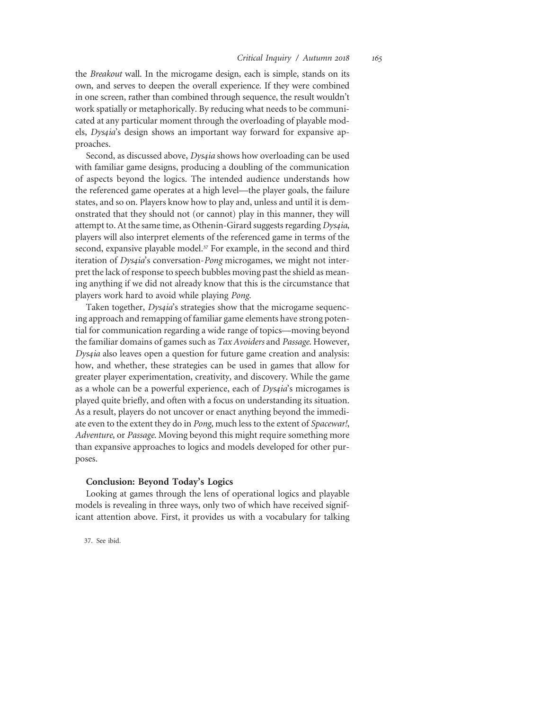the Breakout wall. In the microgame design, each is simple, stands on its own, and serves to deepen the overall experience. If they were combined in one screen, rather than combined through sequence, the result wouldn't work spatially or metaphorically. By reducing what needs to be communicated at any particular moment through the overloading of playable models, Dysqia's design shows an important way forward for expansive approaches.

Second, as discussed above, *Dys4ia* shows how overloading can be used with familiar game designs, producing a doubling of the communication of aspects beyond the logics. The intended audience understands how the referenced game operates at a high level—the player goals, the failure states, and so on. Players know how to play and, unless and until it is demonstrated that they should not (or cannot) play in this manner, they will attempt to. At the same time, as Othenin-Girard suggests regarding *Dys4ia*, players will also interpret elements of the referenced game in terms of the second, expansive playable model.<sup>37</sup> For example, in the second and third iteration of *Dys4ia's* conversation-Pong microgames, we might not interpret the lack of response to speech bubbles moving past the shield as meaning anything if we did not already know that this is the circumstance that players work hard to avoid while playing Pong.

Taken together, *Dys4ia's* strategies show that the microgame sequencing approach and remapping of familiar game elements have strong potential for communication regarding a wide range of topics—moving beyond the familiar domains of games such as Tax Avoiders and Passage. However, Dys4ia also leaves open a question for future game creation and analysis: how, and whether, these strategies can be used in games that allow for greater player experimentation, creativity, and discovery. While the game as a whole can be a powerful experience, each of *Dys4ia's* microgames is played quite briefly, and often with a focus on understanding its situation. As a result, players do not uncover or enact anything beyond the immediate even to the extent they do in Pong, much less to the extent of Spacewar!, Adventure, or Passage. Moving beyond this might require something more than expansive approaches to logics and models developed for other purposes.

#### Conclusion: Beyond Today's Logics

Looking at games through the lens of operational logics and playable models is revealing in three ways, only two of which have received significant attention above. First, it provides us with a vocabulary for talking

37. See ibid.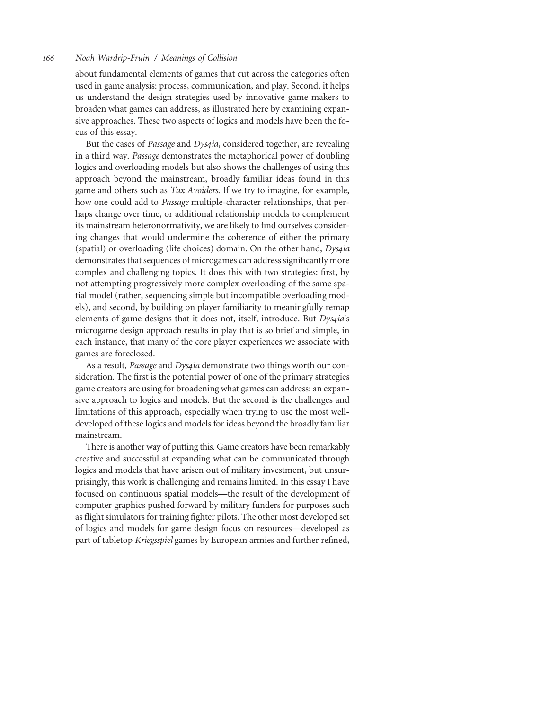about fundamental elements of games that cut across the categories often used in game analysis: process, communication, and play. Second, it helps us understand the design strategies used by innovative game makers to broaden what games can address, as illustrated here by examining expansive approaches. These two aspects of logics and models have been the focus of this essay.

But the cases of Passage and Dys4ia, considered together, are revealing in a third way. Passage demonstrates the metaphorical power of doubling logics and overloading models but also shows the challenges of using this approach beyond the mainstream, broadly familiar ideas found in this game and others such as Tax Avoiders. If we try to imagine, for example, how one could add to Passage multiple-character relationships, that perhaps change over time, or additional relationship models to complement its mainstream heteronormativity, we are likely to find ourselves considering changes that would undermine the coherence of either the primary (spatial) or overloading (life choices) domain. On the other hand, Dys4ia demonstrates that sequences of microgames can address significantly more complex and challenging topics. It does this with two strategies: first, by not attempting progressively more complex overloading of the same spatial model (rather, sequencing simple but incompatible overloading models), and second, by building on player familiarity to meaningfully remap elements of game designs that it does not, itself, introduce. But *Dys4ia's* microgame design approach results in play that is so brief and simple, in each instance, that many of the core player experiences we associate with games are foreclosed.

As a result, Passage and Dys4ia demonstrate two things worth our consideration. The first is the potential power of one of the primary strategies game creators are using for broadening what games can address: an expansive approach to logics and models. But the second is the challenges and limitations of this approach, especially when trying to use the most welldeveloped of these logics and models for ideas beyond the broadly familiar mainstream.

There is another way of putting this. Game creators have been remarkably creative and successful at expanding what can be communicated through logics and models that have arisen out of military investment, but unsurprisingly, this work is challenging and remains limited. In this essay I have focused on continuous spatial models—the result of the development of computer graphics pushed forward by military funders for purposes such as flight simulators for training fighter pilots. The other most developed set of logics and models for game design focus on resources—developed as part of tabletop Kriegsspiel games by European armies and further refined,